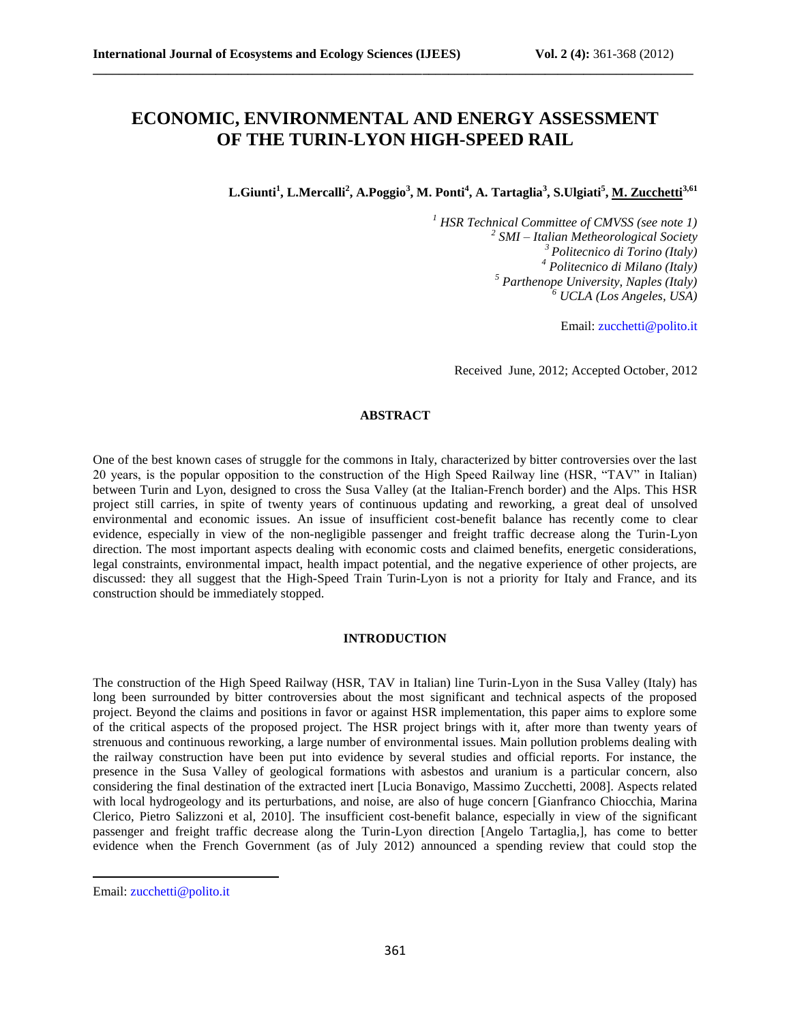# **ECONOMIC, ENVIRONMENTAL AND ENERGY ASSESSMENT OF THE TURIN-LYON HIGH-SPEED RAIL**

**\_\_\_\_\_\_\_\_\_\_\_\_\_\_\_\_\_\_\_\_\_\_\_\_\_\_\_\_\_\_\_\_\_\_\_\_\_\_\_\_\_\_\_\_\_\_\_\_\_\_\_\_\_\_\_\_\_\_\_\_\_\_\_\_\_\_\_\_\_\_\_\_\_\_\_\_\_\_\_\_\_\_\_\_\_\_\_\_\_\_\_\_\_**

**L.Giunti<sup>1</sup> , L.Mercalli<sup>2</sup> , A.Poggio<sup>3</sup> , M. Ponti<sup>4</sup> , A. Tartaglia<sup>3</sup> , S.Ulgiati<sup>5</sup> , M. Zucchetti3,61**

 *HSR Technical Committee of CMVSS (see note 1) SMI – Italian Metheorological Society Politecnico di Torino (Italy) Politecnico di Milano (Italy) Parthenope University, Naples (Italy) UCLA (Los Angeles, USA)*

Email: [zucchetti@polito.it](mailto:zucchetti@polito.it)

Received June, 2012; Accepted October, 2012

## **ABSTRACT**

One of the best known cases of struggle for the commons in Italy, characterized by bitter controversies over the last 20 years, is the popular opposition to the construction of the High Speed Railway line (HSR, "TAV" in Italian) between Turin and Lyon, designed to cross the Susa Valley (at the Italian-French border) and the Alps. This HSR project still carries, in spite of twenty years of continuous updating and reworking, a great deal of unsolved environmental and economic issues. An issue of insufficient cost-benefit balance has recently come to clear evidence, especially in view of the non-negligible passenger and freight traffic decrease along the Turin-Lyon direction. The most important aspects dealing with economic costs and claimed benefits, energetic considerations, legal constraints, environmental impact, health impact potential, and the negative experience of other projects, are discussed: they all suggest that the High-Speed Train Turin-Lyon is not a priority for Italy and France, and its construction should be immediately stopped.

## **INTRODUCTION**

The construction of the High Speed Railway (HSR, TAV in Italian) line Turin-Lyon in the Susa Valley (Italy) has long been surrounded by bitter controversies about the most significant and technical aspects of the proposed project. Beyond the claims and positions in favor or against HSR implementation, this paper aims to explore some of the critical aspects of the proposed project. The HSR project brings with it, after more than twenty years of strenuous and continuous reworking, a large number of environmental issues. Main pollution problems dealing with the railway construction have been put into evidence by several studies and official reports. For instance, the presence in the Susa Valley of geological formations with asbestos and uranium is a particular concern, also considering the final destination of the extracted inert [Lucia Bonavigo, Massimo Zucchetti, 2008]. Aspects related with local hydrogeology and its perturbations, and noise, are also of huge concern [Gianfranco Chiocchia, Marina Clerico, Pietro Salizzoni et al, 2010]. The insufficient cost-benefit balance, especially in view of the significant passenger and freight traffic decrease along the Turin-Lyon direction [Angelo Tartaglia,], has come to better evidence when the French Government (as of July 2012) announced a spending review that could stop the

 $\overline{\phantom{a}}$ 

Email: [zucchetti@polito.it](mailto:zucchetti@polito.it)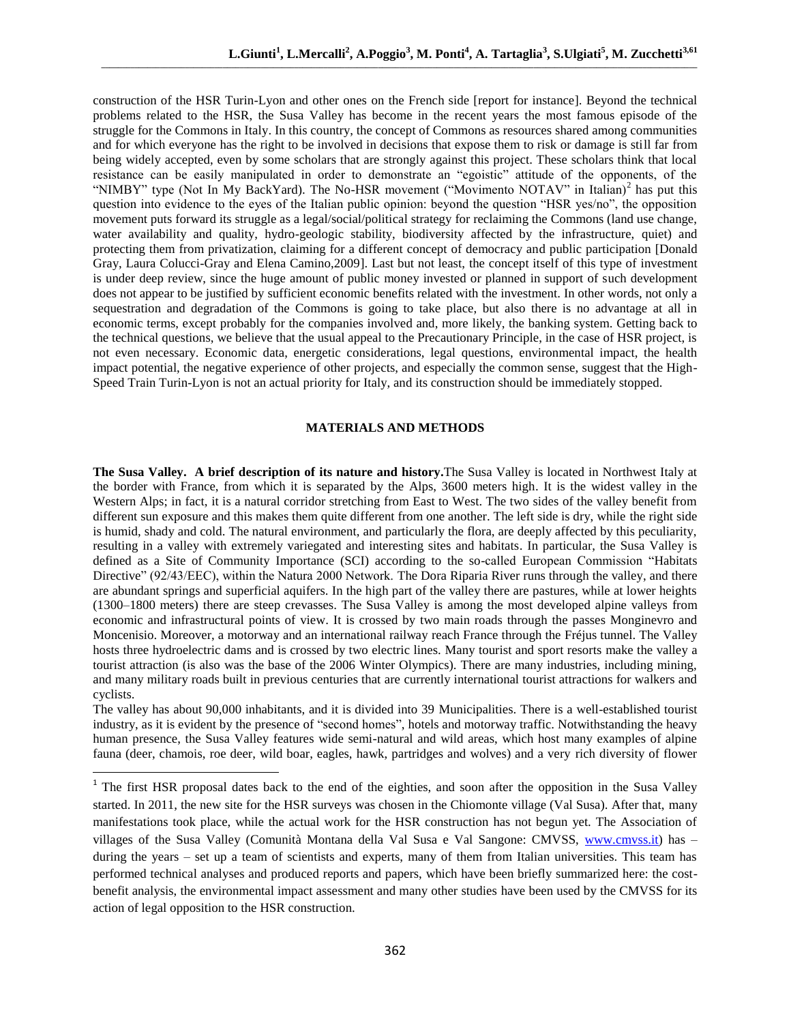construction of the HSR Turin-Lyon and other ones on the French side [report for instance]. Beyond the technical problems related to the HSR, the Susa Valley has become in the recent years the most famous episode of the struggle for the Commons in Italy. In this country, the concept of Commons as resources shared among communities and for which everyone has the right to be involved in decisions that expose them to risk or damage is still far from being widely accepted, even by some scholars that are strongly against this project. These scholars think that local resistance can be easily manipulated in order to demonstrate an "egoistic" attitude of the opponents, of the "NIMBY" type (Not In My BackYard). The No-HSR movement ("Movimento NOTAV" in Italian)<sup>2</sup> has put this question into evidence to the eyes of the Italian public opinion: beyond the question "HSR yes/no", the opposition movement puts forward its struggle as a legal/social/political strategy for reclaiming the Commons (land use change, water availability and quality, hydro-geologic stability, biodiversity affected by the infrastructure, quiet) and protecting them from privatization, claiming for a different concept of democracy and public participation [Donald Gray, Laura Colucci-Gray and Elena Camino,2009]. Last but not least, the concept itself of this type of investment is under deep review, since the huge amount of public money invested or planned in support of such development does not appear to be justified by sufficient economic benefits related with the investment. In other words, not only a sequestration and degradation of the Commons is going to take place, but also there is no advantage at all in economic terms, except probably for the companies involved and, more likely, the banking system. Getting back to the technical questions, we believe that the usual appeal to the Precautionary Principle, in the case of HSR project, is not even necessary. Economic data, energetic considerations, legal questions, environmental impact, the health impact potential, the negative experience of other projects, and especially the common sense, suggest that the High-Speed Train Turin-Lyon is not an actual priority for Italy, and its construction should be immediately stopped.

# **MATERIALS AND METHODS**

**The Susa Valley. A brief description of its nature and history.**The Susa Valley is located in Northwest Italy at the border with France, from which it is separated by the Alps, 3600 meters high. It is the widest valley in the Western Alps; in fact, it is a natural corridor stretching from East to West. The two sides of the valley benefit from different sun exposure and this makes them quite different from one another. The left side is dry, while the right side is humid, shady and cold. The natural environment, and particularly the flora, are deeply affected by this peculiarity, resulting in a valley with extremely variegated and interesting sites and habitats. In particular, the Susa Valley is defined as a Site of Community Importance (SCI) according to the so-called European Commission ["Habitats](http://en.wikipedia.org/wiki/Habitats_Directive)  [Directive"](http://en.wikipedia.org/wiki/Habitats_Directive) (92/43/EEC), within the Natura 2000 Network. The Dora Riparia River runs through the valley, and there are abundant springs and superficial aquifers. In the high part of the valley there are pastures, while at lower heights (1300–1800 meters) there are steep crevasses. The Susa Valley is among the most developed alpine valleys from economic and infrastructural points of view. It is crossed by two main roads through the passes Monginevro and Moncenisio. Moreover, a motorway and an international railway reach France through the Fréjus tunnel. The Valley hosts three hydroelectric dams and is crossed by two electric lines. Many tourist and sport resorts make the valley a tourist attraction (is also was the base of the 2006 Winter Olympics). There are many industries, including mining, and many military roads built in previous centuries that are currently international tourist attractions for walkers and cyclists.

The valley has about 90,000 inhabitants, and it is divided into 39 Municipalities. There is a well-established tourist industry, as it is evident by the presence of "second homes", hotels and motorway traffic. Notwithstanding the heavy human presence, the Susa Valley features wide semi-natural and wild areas, which host many examples of alpine fauna (deer, chamois, roe deer, wild boar, eagles, hawk, partridges and wolves) and a very rich diversity of flower

 $\overline{a}$ 

<sup>&</sup>lt;sup>1</sup> The first HSR proposal dates back to the end of the eighties, and soon after the opposition in the Susa Valley started. In 2011, the new site for the HSR surveys was chosen in the Chiomonte village (Val Susa). After that, many manifestations took place, while the actual work for the HSR construction has not begun yet. The Association of villages of the Susa Valley (Comunità Montana della Val Susa e Val Sangone: CMVSS, [www.cmvss.it\)](http://www.cmvss.it/) has during the years – set up a team of scientists and experts, many of them from Italian universities. This team has performed technical analyses and produced reports and papers, which have been briefly summarized here: the costbenefit analysis, the environmental impact assessment and many other studies have been used by the CMVSS for its action of legal opposition to the HSR construction.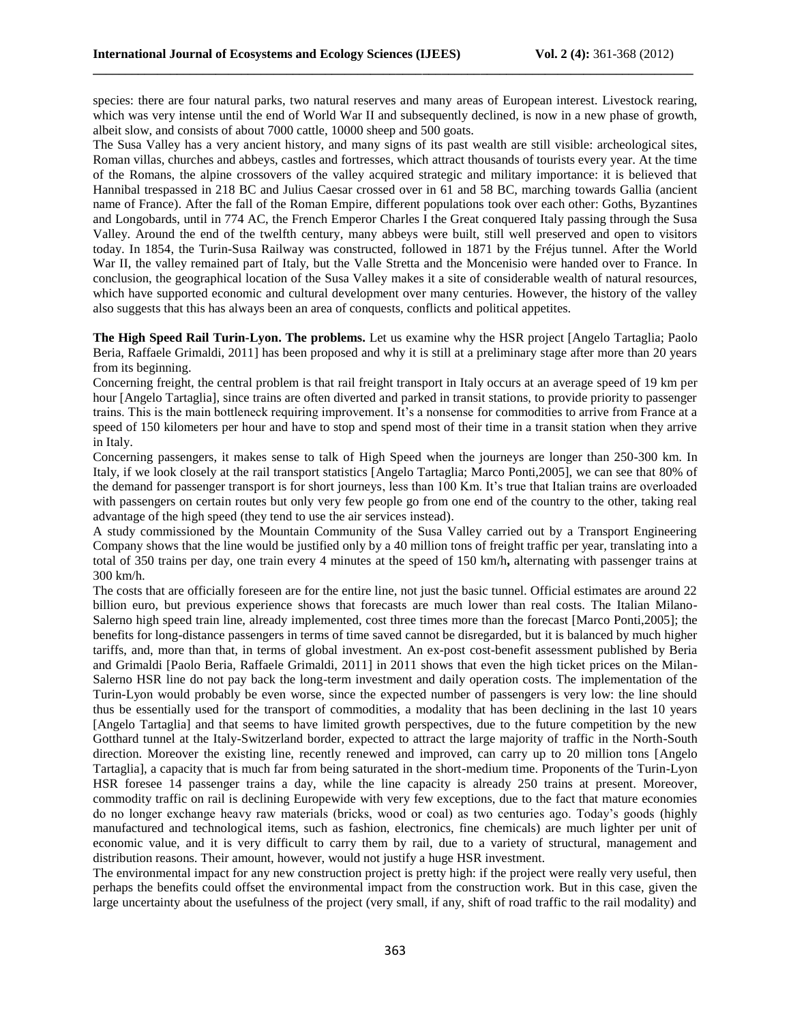species: there are four natural parks, two natural reserves and many areas of European interest. Livestock rearing, which was very intense until the end of World War II and subsequently declined, is now in a new phase of growth, albeit slow, and consists of about 7000 cattle, 10000 sheep and 500 goats.

**\_\_\_\_\_\_\_\_\_\_\_\_\_\_\_\_\_\_\_\_\_\_\_\_\_\_\_\_\_\_\_\_\_\_\_\_\_\_\_\_\_\_\_\_\_\_\_\_\_\_\_\_\_\_\_\_\_\_\_\_\_\_\_\_\_\_\_\_\_\_\_\_\_\_\_\_\_\_\_\_\_\_\_\_\_\_\_\_\_\_\_\_\_**

The Susa Valley has a very ancient history, and many signs of its past wealth are still visible: archeological sites, Roman villas, churches and abbeys, castles and fortresses, which attract thousands of tourists every year. At the time of the Romans, the alpine crossovers of the valley acquired strategic and military importance: it is believed that Hannibal trespassed in 218 BC and Julius Caesar crossed over in 61 and 58 BC, marching towards Gallia (ancient name of France). After the fall of the Roman Empire, different populations took over each other: Goths, Byzantines and Longobards, until in 774 AC, the French Emperor Charles I the Great conquered Italy passing through the Susa Valley. Around the end of the twelfth century, many abbeys were built, still well preserved and open to visitors today. In 1854, the Turin-Susa Railway was constructed, followed in 1871 by the Fréjus tunnel. After the World War II, the valley remained part of Italy, but the Valle Stretta and the Moncenisio were handed over to France. In conclusion, the geographical location of the Susa Valley makes it a site of considerable wealth of natural resources, which have supported economic and cultural development over many centuries. However, the history of the valley also suggests that this has always been an area of conquests, conflicts and political appetites.

**The High Speed Rail Turin-Lyon. The problems.** Let us examine why the HSR project [Angelo Tartaglia; Paolo Beria, Raffaele Grimaldi, 2011] has been proposed and why it is still at a preliminary stage after more than 20 years from its beginning.

Concerning freight, the central problem is that rail freight transport in Italy occurs at an average speed of 19 km per hour [Angelo Tartaglia], since trains are often diverted and parked in transit stations, to provide priority to passenger trains. This is the main bottleneck requiring improvement. It's a nonsense for commodities to arrive from France at a speed of 150 kilometers per hour and have to stop and spend most of their time in a transit station when they arrive in Italy.

Concerning passengers, it makes sense to talk of High Speed when the journeys are longer than 250-300 km. In Italy, if we look closely at the rail transport statistics [Angelo Tartaglia; Marco Ponti,2005], we can see that 80% of the demand for passenger transport is for short journeys, less than 100 Km. It's true that Italian trains are overloaded with passengers on certain routes but only very few people go from one end of the country to the other, taking real advantage of the high speed (they tend to use the air services instead).

A study commissioned by the Mountain Community of the Susa Valley carried out by a Transport Engineering Company shows that the line would be justified only by a 40 million tons of freight traffic per year, translating into a total of 350 trains per day, one train every 4 minutes at the speed of 150 km/h**,** alternating with passenger trains at 300 km/h.

The costs that are officially foreseen are for the entire line, not just the basic tunnel. Official estimates are around 22 billion euro, but previous experience shows that forecasts are much lower than real costs. The Italian Milano-Salerno high speed train line, already implemented, cost three times more than the forecast [Marco Ponti,2005]; the benefits for long-distance passengers in terms of time saved cannot be disregarded, but it is balanced by much higher tariffs, and, more than that, in terms of global investment. An ex-post cost-benefit assessment published by Beria and Grimaldi [Paolo Beria, Raffaele Grimaldi, 2011] in 2011 shows that even the high ticket prices on the Milan-Salerno HSR line do not pay back the long-term investment and daily operation costs. The implementation of the Turin-Lyon would probably be even worse, since the expected number of passengers is very low: the line should thus be essentially used for the transport of commodities, a modality that has been declining in the last 10 years [Angelo Tartaglia] and that seems to have limited growth perspectives, due to the future competition by the new Gotthard tunnel at the Italy-Switzerland border, expected to attract the large majority of traffic in the North-South direction. Moreover the existing line, recently renewed and improved, can carry up to 20 million tons [Angelo Tartaglia], a capacity that is much far from being saturated in the short-medium time. Proponents of the Turin-Lyon HSR foresee 14 passenger trains a day, while the line capacity is already 250 trains at present. Moreover, commodity traffic on rail is declining Europewide with very few exceptions, due to the fact that mature economies do no longer exchange heavy raw materials (bricks, wood or coal) as two centuries ago. Today's goods (highly manufactured and technological items, such as fashion, electronics, fine chemicals) are much lighter per unit of economic value, and it is very difficult to carry them by rail, due to a variety of structural, management and distribution reasons. Their amount, however, would not justify a huge HSR investment.

The environmental impact for any new construction project is pretty high: if the project were really very useful, then perhaps the benefits could offset the environmental impact from the construction work. But in this case, given the large uncertainty about the usefulness of the project (very small, if any, shift of road traffic to the rail modality) and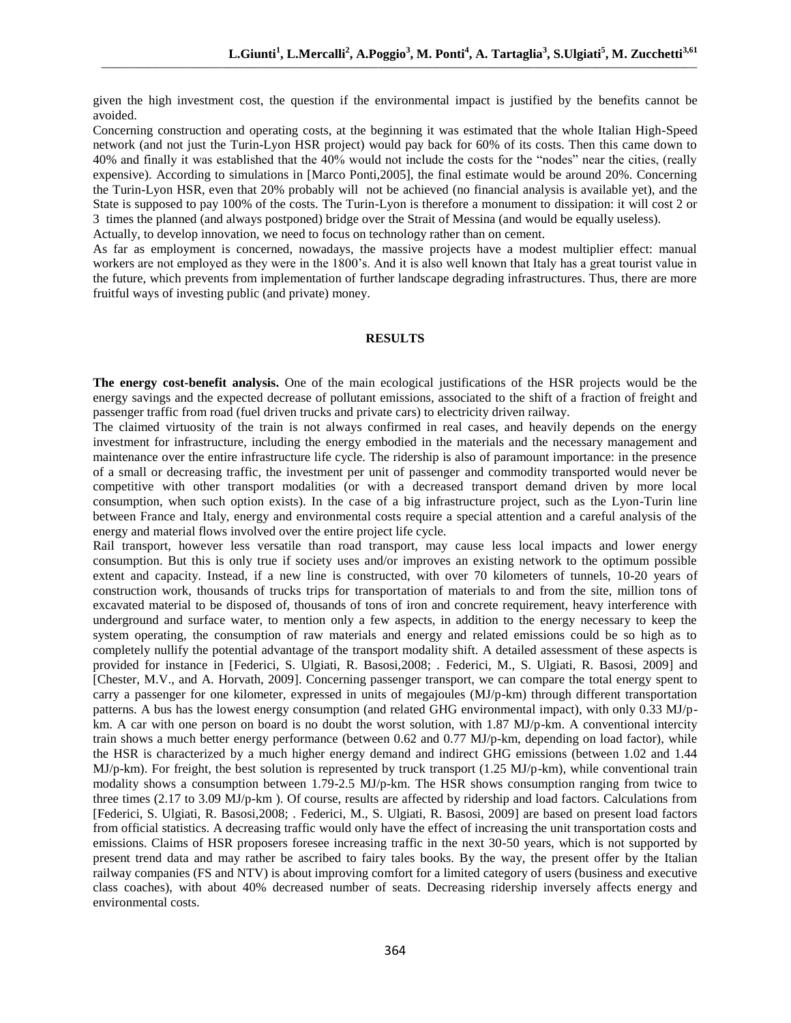given the high investment cost, the question if the environmental impact is justified by the benefits cannot be avoided.

Concerning construction and operating costs, at the beginning it was estimated that the whole Italian High-Speed network (and not just the Turin-Lyon HSR project) would pay back for 60% of its costs. Then this came down to 40% and finally it was established that the 40% would not include the costs for the "nodes" near the cities, (really expensive). According to simulations in [Marco Ponti,2005], the final estimate would be around 20%. Concerning the Turin-Lyon HSR, even that 20% probably will not be achieved (no financial analysis is available yet), and the State is supposed to pay 100% of the costs. The Turin-Lyon is therefore a monument to dissipation: it will cost 2 or 3 times the planned (and always postponed) bridge over the Strait of Messina (and would be equally useless).

Actually, to develop innovation, we need to focus on technology rather than on cement.

As far as employment is concerned, nowadays, the massive projects have a modest multiplier effect: manual workers are not employed as they were in the 1800's. And it is also well known that Italy has a great tourist value in the future, which prevents from implementation of further landscape degrading infrastructures. Thus, there are more fruitful ways of investing public (and private) money.

#### **RESULTS**

**The energy cost-benefit analysis.** One of the main ecological justifications of the HSR projects would be the energy savings and the expected decrease of pollutant emissions, associated to the shift of a fraction of freight and passenger traffic from road (fuel driven trucks and private cars) to electricity driven railway.

The claimed virtuosity of the train is not always confirmed in real cases, and heavily depends on the energy investment for infrastructure, including the energy embodied in the materials and the necessary management and maintenance over the entire infrastructure life cycle. The ridership is also of paramount importance: in the presence of a small or decreasing traffic, the investment per unit of passenger and commodity transported would never be competitive with other transport modalities (or with a decreased transport demand driven by more local consumption, when such option exists). In the case of a big infrastructure project, such as the Lyon-Turin line between France and Italy, energy and environmental costs require a special attention and a careful analysis of the energy and material flows involved over the entire project life cycle.

Rail transport, however less versatile than road transport, may cause less local impacts and lower energy consumption. But this is only true if society uses and/or improves an existing network to the optimum possible extent and capacity. Instead, if a new line is constructed, with over 70 kilometers of tunnels, 10-20 years of construction work, thousands of trucks trips for transportation of materials to and from the site, million tons of excavated material to be disposed of, thousands of tons of iron and concrete requirement, heavy interference with underground and surface water, to mention only a few aspects, in addition to the energy necessary to keep the system operating, the consumption of raw materials and energy and related emissions could be so high as to completely nullify the potential advantage of the transport modality shift. A detailed assessment of these aspects is provided for instance in [Federici, S. Ulgiati, R. Basosi,2008; . Federici, M., S. Ulgiati, R. Basosi, 2009] and [Chester, M.V., and A. Horvath, 2009]. Concerning passenger transport, we can compare the total energy spent to carry a passenger for one kilometer, expressed in units of megajoules (MJ/p-km) through different transportation patterns. A bus has the lowest energy consumption (and related GHG environmental impact), with only 0.33 MJ/pkm. A car with one person on board is no doubt the worst solution, with 1.87 MJ/p-km. A conventional intercity train shows a much better energy performance (between 0.62 and 0.77 MJ/p-km, depending on load factor), while the HSR is characterized by a much higher energy demand and indirect GHG emissions (between 1.02 and 1.44 MJ/p-km). For freight, the best solution is represented by truck transport (1.25 MJ/p-km), while conventional train modality shows a consumption between 1.79-2.5 MJ/p-km. The HSR shows consumption ranging from twice to three times (2.17 to 3.09 MJ/p-km ). Of course, results are affected by ridership and load factors. Calculations from [Federici, S. Ulgiati, R. Basosi,2008; . Federici, M., S. Ulgiati, R. Basosi, 2009] are based on present load factors from official statistics. A decreasing traffic would only have the effect of increasing the unit transportation costs and emissions. Claims of HSR proposers foresee increasing traffic in the next 30-50 years, which is not supported by present trend data and may rather be ascribed to fairy tales books. By the way, the present offer by the Italian railway companies (FS and NTV) is about improving comfort for a limited category of users (business and executive class coaches), with about 40% decreased number of seats. Decreasing ridership inversely affects energy and environmental costs.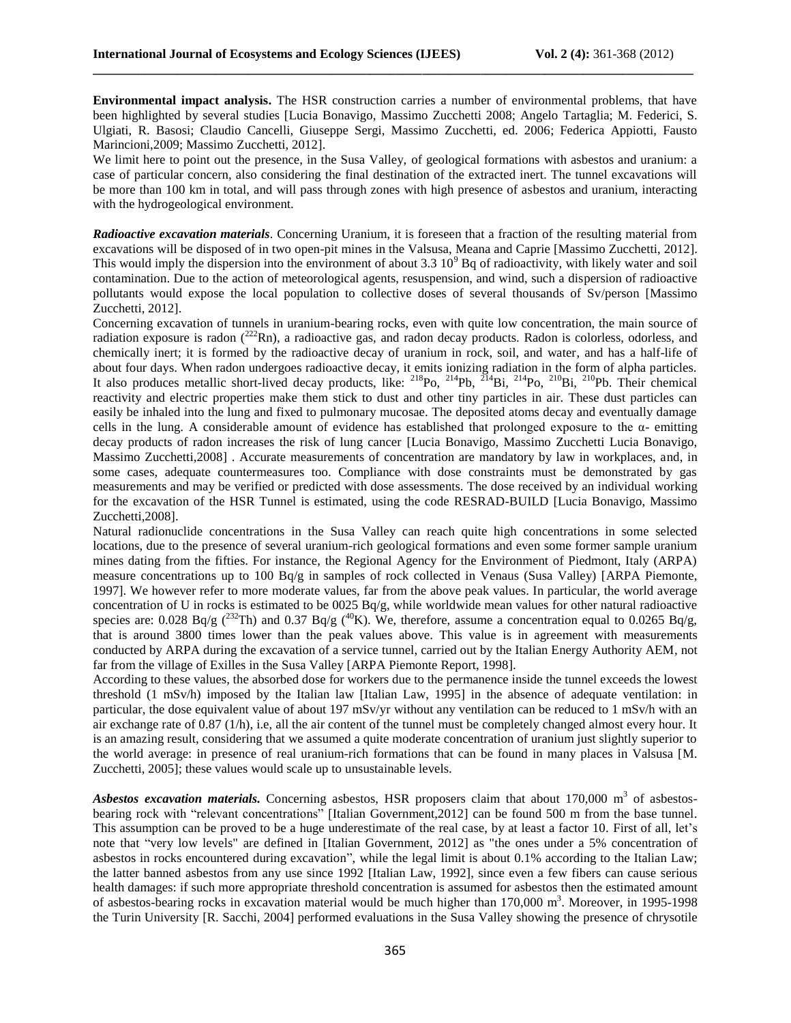**Environmental impact analysis.** The HSR construction carries a number of environmental problems, that have been highlighted by several studies [Lucia Bonavigo, Massimo Zucchetti 2008; Angelo Tartaglia; M. Federici, S. Ulgiati, R. Basosi; Claudio Cancelli, Giuseppe Sergi, Massimo Zucchetti, ed. 2006; Federica Appiotti, Fausto Marincioni,2009; Massimo Zucchetti, 2012].

**\_\_\_\_\_\_\_\_\_\_\_\_\_\_\_\_\_\_\_\_\_\_\_\_\_\_\_\_\_\_\_\_\_\_\_\_\_\_\_\_\_\_\_\_\_\_\_\_\_\_\_\_\_\_\_\_\_\_\_\_\_\_\_\_\_\_\_\_\_\_\_\_\_\_\_\_\_\_\_\_\_\_\_\_\_\_\_\_\_\_\_\_\_**

We limit here to point out the presence, in the Susa Valley, of geological formations with asbestos and uranium: a case of particular concern, also considering the final destination of the extracted inert. The tunnel excavations will be more than 100 km in total, and will pass through zones with high presence of asbestos and uranium, interacting with the hydrogeological environment.

*Radioactive excavation materials.* Concerning Uranium, it is foreseen that a fraction of the resulting material from excavations will be disposed of in two open-pit mines in the Valsusa, Meana and Caprie [Massimo Zucchetti, 2012]. This would imply the dispersion into the environment of about  $3.3\,10^9$  Bq of radioactivity, with likely water and soil contamination. Due to the action of meteorological agents, resuspension, and wind, such a dispersion of radioactive pollutants would expose the local population to collective doses of several thousands of Sv/person [Massimo Zucchetti, 2012].

Concerning excavation of tunnels in uranium-bearing rocks, even with quite low concentration, the main source of radiation exposure is radon  $(^{222}Rn)$ , a radioactive gas, and radon decay products. Radon is colorless, odorless, and chemically inert; it is formed by the radioactive decay of uranium in rock, soil, and water, and has a half-life of about four days. When radon undergoes radioactive decay, it emits ionizing radiation in the form of alpha particles. It also produces metallic short-lived decay products, like:  $^{218}P_0$ ,  $^{214}P_0$ ,  $^{214}P_0$ ,  $^{210}P_0$ ,  $^{210}P_0$ . Their chemical reactivity and electric properties make them stick to dust and other tiny particles in air. These dust particles can easily be inhaled into the lung and fixed to pulmonary mucosae. The deposited atoms decay and eventually damage cells in the lung. A considerable amount of evidence has established that prolonged exposure to the  $\alpha$ - emitting decay products of radon increases the risk of lung cancer [Lucia Bonavigo, Massimo Zucchetti Lucia Bonavigo, Massimo Zucchetti,2008] . Accurate measurements of concentration are mandatory by law in workplaces, and, in some cases, adequate countermeasures too. Compliance with dose constraints must be demonstrated by gas measurements and may be verified or predicted with dose assessments. The dose received by an individual working for the excavation of the HSR Tunnel is estimated, using the code RESRAD-BUILD [Lucia Bonavigo, Massimo Zucchetti, 2008].

Natural radionuclide concentrations in the Susa Valley can reach quite high concentrations in some selected locations, due to the presence of several uranium-rich geological formations and even some former sample uranium mines dating from the fifties. For instance, the Regional Agency for the Environment of Piedmont, Italy (ARPA) measure concentrations up to 100 Bq/g in samples of rock collected in Venaus (Susa Valley) [ARPA Piemonte, 1997]. We however refer to more moderate values, far from the above peak values. In particular, the world average concentration of U in rocks is estimated to be 0025 Bq/g, while worldwide mean values for other natural radioactive species are: 0.028 Bq/g ( $^{232}$ Th) and 0.37 Bq/g ( $^{40}$ K). We, therefore, assume a concentration equal to 0.0265 Bq/g, that is around 3800 times lower than the peak values above. This value is in agreement with measurements conducted by ARPA during the excavation of a service tunnel, carried out by the Italian Energy Authority AEM, not far from the village of Exilles in the Susa Valley [ARPA Piemonte Report, 1998].

According to these values, the absorbed dose for workers due to the permanence inside the tunnel exceeds the lowest threshold (1 mSv/h) imposed by the Italian law [Italian Law, 1995] in the absence of adequate ventilation: in particular, the dose equivalent value of about 197 mSv/yr without any ventilation can be reduced to 1 mSv/h with an air exchange rate of 0.87 (1/h), i.e, all the air content of the tunnel must be completely changed almost every hour. It is an amazing result, considering that we assumed a quite moderate concentration of uranium just slightly superior to the world average: in presence of real uranium-rich formations that can be found in many places in Valsusa [M. Zucchetti, 2005]; these values would scale up to unsustainable levels.

Asbestos excavation materials. Concerning asbestos, HSR proposers claim that about 170,000 m<sup>3</sup> of asbestosbearing rock with "relevant concentrations" [Italian Government,2012] can be found 500 m from the base tunnel. This assumption can be proved to be a huge underestimate of the real case, by at least a factor 10. First of all, let's note that "very low levels" are defined in [Italian Government, 2012] as "the ones under a 5% concentration of asbestos in rocks encountered during excavation", while the legal limit is about 0.1% according to the Italian Law; the latter banned asbestos from any use since 1992 [Italian Law, 1992], since even a few fibers can cause serious health damages: if such more appropriate threshold concentration is assumed for asbestos then the estimated amount of asbestos-bearing rocks in excavation material would be much higher than 170,000 m<sup>3</sup>. Moreover, in 1995-1998 the Turin University [R. Sacchi, 2004] performed evaluations in the Susa Valley showing the presence of chrysotile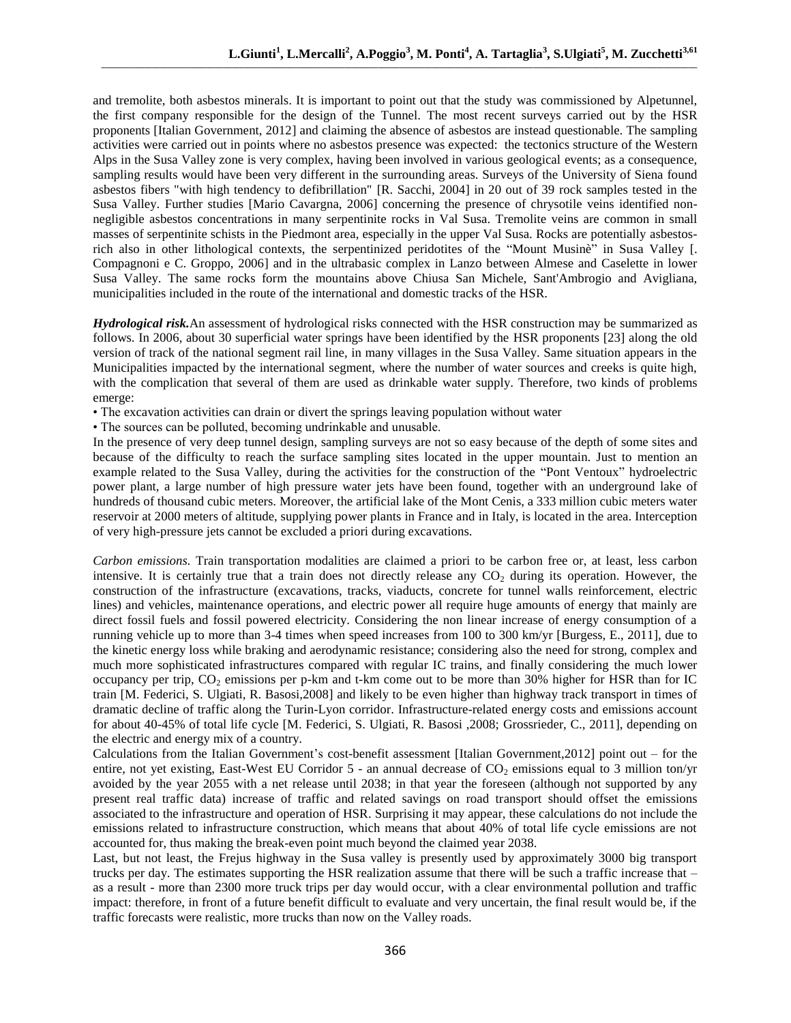and tremolite, both asbestos minerals. It is important to point out that the study was commissioned by Alpetunnel, the first company responsible for the design of the Tunnel. The most recent surveys carried out by the HSR proponents [Italian Government, 2012] and claiming the absence of asbestos are instead questionable. The sampling activities were carried out in points where no asbestos presence was expected: the tectonics structure of the Western Alps in the Susa Valley zone is very complex, having been involved in various geological events; as a consequence, sampling results would have been very different in the surrounding areas. Surveys of the University of Siena found asbestos fibers "with high tendency to defibrillation" [R. Sacchi, 2004] in 20 out of 39 rock samples tested in the Susa Valley. Further studies [Mario Cavargna, 2006] concerning the presence of chrysotile veins identified nonnegligible asbestos concentrations in many serpentinite rocks in Val Susa. Tremolite veins are common in small masses of serpentinite schists in the Piedmont area, especially in the upper Val Susa. Rocks are potentially asbestosrich also in other lithological contexts, the serpentinized peridotites of the "Mount Musinè" in Susa Valley [. Compagnoni e C. Groppo, 2006] and in the ultrabasic complex in Lanzo between Almese and Caselette in lower Susa Valley. The same rocks form the mountains above Chiusa San Michele, Sant'Ambrogio and Avigliana, municipalities included in the route of the international and domestic tracks of the HSR.

*Hydrological risk.*An assessment of hydrological risks connected with the HSR construction may be summarized as follows. In 2006, about 30 superficial water springs have been identified by the HSR proponents [23] along the old version of track of the national segment rail line, in many villages in the Susa Valley. Same situation appears in the Municipalities impacted by the international segment, where the number of water sources and creeks is quite high, with the complication that several of them are used as drinkable water supply. Therefore, two kinds of problems emerge:

• The excavation activities can drain or divert the springs leaving population without water

• The sources can be polluted, becoming undrinkable and unusable.

In the presence of very deep tunnel design, sampling surveys are not so easy because of the depth of some sites and because of the difficulty to reach the surface sampling sites located in the upper mountain. Just to mention an example related to the Susa Valley, during the activities for the construction of the "Pont Ventoux" hydroelectric power plant, a large number of high pressure water jets have been found, together with an underground lake of hundreds of thousand cubic meters. Moreover, the artificial lake of the Mont Cenis, a 333 million cubic meters water reservoir at 2000 meters of altitude, supplying power plants in France and in Italy, is located in the area. Interception of very high-pressure jets cannot be excluded a priori during excavations.

*Carbon emissions.* Train transportation modalities are claimed a priori to be carbon free or, at least, less carbon intensive. It is certainly true that a train does not directly release any  $CO<sub>2</sub>$  during its operation. However, the construction of the infrastructure (excavations, tracks, viaducts, concrete for tunnel walls reinforcement, electric lines) and vehicles, maintenance operations, and electric power all require huge amounts of energy that mainly are direct fossil fuels and fossil powered electricity. Considering the non linear increase of energy consumption of a running vehicle up to more than 3-4 times when speed increases from 100 to 300 km/yr [Burgess, E., 2011], due to the kinetic energy loss while braking and aerodynamic resistance; considering also the need for strong, complex and much more sophisticated infrastructures compared with regular IC trains, and finally considering the much lower occupancy per trip,  $CO_2$  emissions per p-km and t-km come out to be more than 30% higher for HSR than for IC train [M. Federici, S. Ulgiati, R. Basosi,2008] and likely to be even higher than highway track transport in times of dramatic decline of traffic along the Turin-Lyon corridor. Infrastructure-related energy costs and emissions account for about 40-45% of total life cycle [M. Federici, S. Ulgiati, R. Basosi ,2008; Grossrieder, C., 2011], depending on the electric and energy mix of a country.

Calculations from the Italian Government's cost-benefit assessment [Italian Government,2012] point out – for the entire, not yet existing, East-West EU Corridor  $5$  - an annual decrease of  $CO<sub>2</sub>$  emissions equal to 3 million ton/yr avoided by the year 2055 with a net release until 2038; in that year the foreseen (although not supported by any present real traffic data) increase of traffic and related savings on road transport should offset the emissions associated to the infrastructure and operation of HSR. Surprising it may appear, these calculations do not include the emissions related to infrastructure construction, which means that about 40% of total life cycle emissions are not accounted for, thus making the break-even point much beyond the claimed year 2038.

Last, but not least, the Frejus highway in the Susa valley is presently used by approximately 3000 big transport trucks per day. The estimates supporting the HSR realization assume that there will be such a traffic increase that – as a result - more than 2300 more truck trips per day would occur, with a clear environmental pollution and traffic impact: therefore, in front of a future benefit difficult to evaluate and very uncertain, the final result would be, if the traffic forecasts were realistic, more trucks than now on the Valley roads.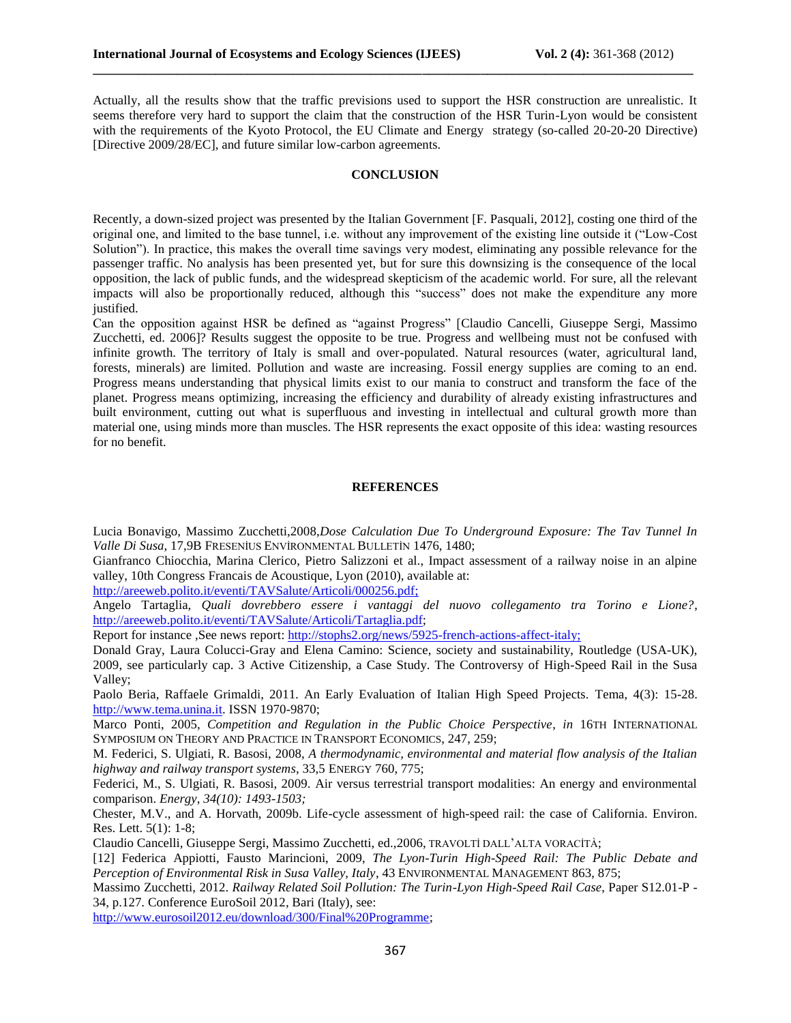Actually, all the results show that the traffic previsions used to support the HSR construction are unrealistic. It seems therefore very hard to support the claim that the construction of the HSR Turin-Lyon would be consistent with the requirements of the Kyoto Protocol, the EU Climate and Energy strategy (so-called 20-20-20 Directive) [Directive 2009/28/EC], and future similar low-carbon agreements.

**\_\_\_\_\_\_\_\_\_\_\_\_\_\_\_\_\_\_\_\_\_\_\_\_\_\_\_\_\_\_\_\_\_\_\_\_\_\_\_\_\_\_\_\_\_\_\_\_\_\_\_\_\_\_\_\_\_\_\_\_\_\_\_\_\_\_\_\_\_\_\_\_\_\_\_\_\_\_\_\_\_\_\_\_\_\_\_\_\_\_\_\_\_**

# **CONCLUSION**

Recently, a down-sized project was presented by the Italian Government [F. Pasquali, 2012], costing one third of the original one, and limited to the base tunnel, i.e. without any improvement of the existing line outside it ("Low-Cost Solution"). In practice, this makes the overall time savings very modest, eliminating any possible relevance for the passenger traffic. No analysis has been presented yet, but for sure this downsizing is the consequence of the local opposition, the lack of public funds, and the widespread skepticism of the academic world. For sure, all the relevant impacts will also be proportionally reduced, although this "success" does not make the expenditure any more justified.

Can the opposition against HSR be defined as "against Progress" [Claudio Cancelli, Giuseppe Sergi, Massimo Zucchetti, ed. 2006]? Results suggest the opposite to be true. Progress and wellbeing must not be confused with infinite growth. The territory of Italy is small and over-populated. Natural resources (water, agricultural land, forests, minerals) are limited. Pollution and waste are increasing. Fossil energy supplies are coming to an end. Progress means understanding that physical limits exist to our mania to construct and transform the face of the planet. Progress means optimizing, increasing the efficiency and durability of already existing infrastructures and built environment, cutting out what is superfluous and investing in intellectual and cultural growth more than material one, using minds more than muscles. The HSR represents the exact opposite of this idea: wasting resources for no benefit.

#### **REFERENCES**

Lucia Bonavigo, Massimo Zucchetti,2008,*Dose Calculation Due To Underground Exposure: The Tav Tunnel In Valle Di Susa*, 17,9B FRESENİUS ENVİRONMENTAL BULLETİN 1476, 1480;

Gianfranco Chiocchia, Marina Clerico, Pietro Salizzoni et al., Impact assessment of a railway noise in an alpine valley, 10th Congress Francais de Acoustique, Lyon (2010), available at:

[http://areeweb.polito.it/eventi/TAVSalute/Articoli/000256.pdf;](http://areeweb.polito.it/eventi/TAVSalute/Articoli/000256.pdf)

Angelo Tartaglia, *Quali dovrebbero essere i vantaggi del nuovo collegamento tra Torino e Lione?*, [http://areeweb.polito.it/eventi/TAVSalute/Articoli/Tartaglia.pdf;](http://areeweb.polito.it/eventi/TAVSalute/Articoli/Tartaglia.pdf)

Report for instance ,See news report: [http://stophs2.org/news/5925-french-actions-affect-italy;](http://stophs2.org/news/5925-french-actions-affect-italy)

Donald Gray, Laura Colucci-Gray and Elena Camino: Science, society and sustainability, Routledge (USA-UK), 2009, see particularly cap. 3 Active Citizenship, a Case Study. The Controversy of High-Speed Rail in the Susa Valley;

Paolo Beria, Raffaele Grimaldi, 2011. An Early Evaluation of Italian High Speed Projects. Tema, 4(3): 15-28. [http://www.tema.unina.it.](http://www.tema.unina.it/) ISSN 1970-9870;

Marco Ponti, 2005, *Competition and Regulation in the Public Choice Perspective*, *in* 16TH INTERNATIONAL SYMPOSIUM ON THEORY AND PRACTICE IN TRANSPORT ECONOMICS, 247, 259;

M. Federici, S. Ulgiati, R. Basosi, 2008, *A thermodynamic, environmental and material flow analysis of the Italian highway and railway transport systems*, 33,5 ENERGY 760, 775;

Federici, M., S. Ulgiati, R. Basosi, 2009. [Air versus terrestrial transport modalities: An energy and environmental](http://www.sciencedirect.com/science?_ob=ArticleURL&_udi=B6V2S-4WSWYDS-2&_user=10&_coverDate=10%2F31%2F2009&_alid=1456669337&_rdoc=51&_fmt=high&_orig=search&_origin=search&_zone=rslt_list_item&_cdi=5710&_sort=d&_st=13&_docanchor=&view=c&_ct=660&_acct=C000050221&_version=1&_urlVersion=0&_userid=10&md5=db42896c08a5f4297994b613d2bc37eb&searchtype=a)  [comparison.](http://www.sciencedirect.com/science?_ob=ArticleURL&_udi=B6V2S-4WSWYDS-2&_user=10&_coverDate=10%2F31%2F2009&_alid=1456669337&_rdoc=51&_fmt=high&_orig=search&_origin=search&_zone=rslt_list_item&_cdi=5710&_sort=d&_st=13&_docanchor=&view=c&_ct=660&_acct=C000050221&_version=1&_urlVersion=0&_userid=10&md5=db42896c08a5f4297994b613d2bc37eb&searchtype=a) *Energy*, *34(10): 1493-1503;*

Chester, M.V., and A. Horvath, 2009b. Life-cycle assessment of high-speed rail: the case of California. Environ. Res. Lett. 5(1): 1-8;

Claudio Cancelli, Giuseppe Sergi, Massimo Zucchetti, ed.,2006, TRAVOLTİ DALL'ALTA VORACİTÀ;

[12] Federica Appiotti, Fausto Marincioni, 2009, *The Lyon-Turin High-Speed Rail: The Public Debate and Perception of Environmental Risk in Susa Valley, Italy*, 43 ENVIRONMENTAL MANAGEMENT 863, 875;

Massimo Zucchetti, 2012. *Railway Related Soil Pollution: The Turin-Lyon High-Speed Rail Case*, Paper S12.01-P - 34, p.127. Conference EuroSoil 2012, Bari (Italy), see:

[http://www.eurosoil2012.eu/download/300/Final%20Programme;](http://www.eurosoil2012.eu/download/300/Final%20Programme)